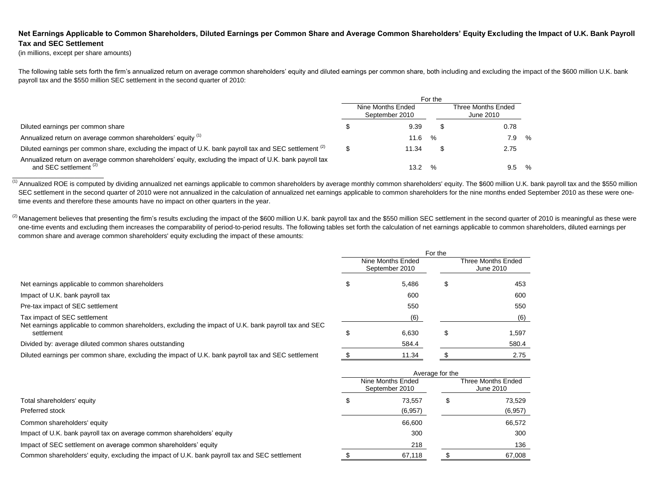## Net Earnings Applicable to Common Shareholders, Diluted Earnings per Common Share and Average Common Shareholders' Equity Excluding the Impact of U.K. Bank Payroll **Tax and SEC Settlement**

(in millions, except per share amounts)

The following table sets forth the firm's annualized return on average common shareholders' equity and diluted earnings per common share, both including and excluding the impact of the \$600 million U.K. bank payroll tax and the \$550 million SEC settlement in the second quarter of 2010:

|                                                                                                                                              | For the |                                     |      |                                 |   |  |  |
|----------------------------------------------------------------------------------------------------------------------------------------------|---------|-------------------------------------|------|---------------------------------|---|--|--|
|                                                                                                                                              |         | Nine Months Ended<br>September 2010 |      | Three Months Ended<br>June 2010 |   |  |  |
| Diluted earnings per common share                                                                                                            |         | 9.39                                | \$   | 0.78                            |   |  |  |
| Annualized return on average common shareholders' equity (1)                                                                                 |         | 11.6                                | %    | 7.9                             | % |  |  |
| Diluted earnings per common share, excluding the impact of U.K. bank payroll tax and SEC settlement <sup>(2)</sup>                           |         | 11.34                               |      | 2.75                            |   |  |  |
| Annualized return on average common shareholders' equity, excluding the impact of U.K. bank payroll tax<br>and SEC settlement <sup>(2)</sup> |         | 13.2                                | $\%$ | 9.5                             | % |  |  |

(1) Annualized ROE is computed by dividing annualized net earnings applicable to common shareholders by average monthly common shareholders' equity. The \$600 million U.K. bank payroll tax and the \$550 million SEC settlement in the second quarter of 2010 were not annualized in the calculation of annualized net earnings applicable to common shareholders for the nine months ended September 2010 as these were onetime events and therefore these amounts have no impact on other quarters in the year.

 $^{(2)}$  Management believes that presenting the firm's results excluding the impact of the \$600 million U.K. bank payroll tax and the \$550 million SEC settlement in the second quarter of 2010 is meaningful as these were one-time events and excluding them increases the comparability of period-to-period results. The following tables set forth the calculation of net earnings applicable to common shareholders, diluted earnings per common share and average common shareholders' equity excluding the impact of these amounts:

| For the |       |                                     |       |  |  |
|---------|-------|-------------------------------------|-------|--|--|
|         |       | Three Months Ended<br>June 2010     |       |  |  |
| Φ       | 5.486 | Æ                                   | 453   |  |  |
|         | 600   |                                     | 600   |  |  |
|         | 550   |                                     | 550   |  |  |
|         | (6)   |                                     | (6)   |  |  |
| S       | 6,630 | æ                                   | 1.597 |  |  |
|         | 584.4 |                                     | 580.4 |  |  |
|         | 11.34 |                                     | 2.75  |  |  |
|         |       | Nine Months Ended<br>September 2010 |       |  |  |

|                                                                                               |  |                                     | Average for the |                                 |  |  |  |
|-----------------------------------------------------------------------------------------------|--|-------------------------------------|-----------------|---------------------------------|--|--|--|
|                                                                                               |  | Nine Months Ended<br>September 2010 |                 | Three Months Ended<br>June 2010 |  |  |  |
| Total shareholders' equity                                                                    |  | 73.557                              |                 | 73,529                          |  |  |  |
| Preferred stock                                                                               |  | (6,957)                             |                 | (6,957)                         |  |  |  |
| Common shareholders' equity                                                                   |  | 66.600                              |                 | 66,572                          |  |  |  |
| Impact of U.K. bank payroll tax on average common shareholders' equity                        |  | 300                                 |                 | 300                             |  |  |  |
| Impact of SEC settlement on average common shareholders' equity                               |  | 218                                 |                 | 136                             |  |  |  |
| Common shareholders' equity, excluding the impact of U.K. bank payroll tax and SEC settlement |  | 67,118                              |                 | 67,008                          |  |  |  |
|                                                                                               |  |                                     |                 |                                 |  |  |  |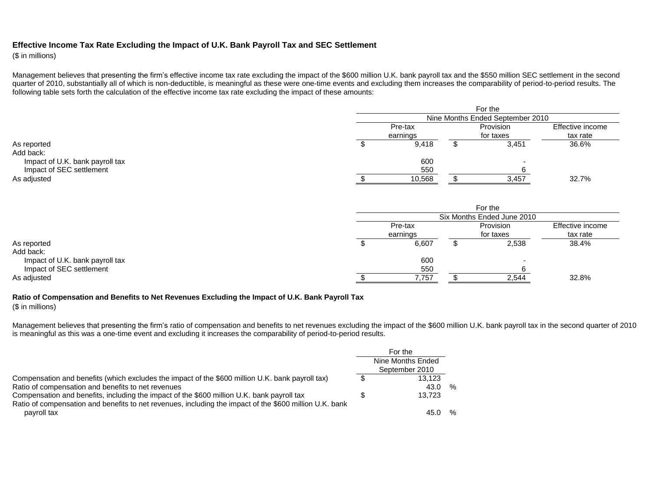## **Effective Income Tax Rate Excluding the Impact of U.K. Bank Payroll Tax and SEC Settlement**

(\$ in millions)

Management believes that presenting the firm's effective income tax rate excluding the impact of the \$600 million U.K. bank payroll tax and the \$550 million SEC settlement in the second quarter of 2010, substantially all of which is non-deductible, is meaningful as these were one-time events and excluding them increases the comparability of period-to-period results. The following table sets forth the calculation of the effective income tax rate excluding the impact of these amounts:

|                                 | For the |                                  |  |           |                  |  |  |  |  |  |
|---------------------------------|---------|----------------------------------|--|-----------|------------------|--|--|--|--|--|
|                                 |         | Nine Months Ended September 2010 |  |           |                  |  |  |  |  |  |
|                                 |         | Pre-tax                          |  |           | Effective income |  |  |  |  |  |
|                                 |         | earnings                         |  | for taxes | tax rate         |  |  |  |  |  |
| As reported                     |         | 9,418                            |  | 3,451     | 36.6%            |  |  |  |  |  |
| Add back:                       |         |                                  |  |           |                  |  |  |  |  |  |
| Impact of U.K. bank payroll tax |         | 600                              |  |           |                  |  |  |  |  |  |
| Impact of SEC settlement        |         | 550                              |  |           |                  |  |  |  |  |  |
| As adjusted                     |         | 10,568                           |  | 3,457     | 32.7%            |  |  |  |  |  |

|                                 | For the |                            |  |           |                  |  |  |  |  |  |
|---------------------------------|---------|----------------------------|--|-----------|------------------|--|--|--|--|--|
|                                 |         | Six Months Ended June 2010 |  |           |                  |  |  |  |  |  |
|                                 |         | Pre-tax                    |  | Provision | Effective income |  |  |  |  |  |
|                                 |         | earnings                   |  | for taxes | tax rate         |  |  |  |  |  |
| As reported                     |         | 6,607                      |  | 2,538     | 38.4%            |  |  |  |  |  |
| Add back:                       |         |                            |  |           |                  |  |  |  |  |  |
| Impact of U.K. bank payroll tax |         | 600                        |  |           |                  |  |  |  |  |  |
| Impact of SEC settlement        |         | 550                        |  |           |                  |  |  |  |  |  |
| As adjusted                     |         | 7,757                      |  | 2,544     | 32.8%            |  |  |  |  |  |

## **Ratio of Compensation and Benefits to Net Revenues Excluding the Impact of U.K. Bank Payroll Tax**

(\$ in millions)

Management believes that presenting the firm's ratio of compensation and benefits to net revenues excluding the impact of the \$600 million U.K. bank payroll tax in the second quarter of 2010 is meaningful as this was a one-time event and excluding it increases the comparability of period-to-period results.

|                                                                                                                                                                                                       | For the                             |   |
|-------------------------------------------------------------------------------------------------------------------------------------------------------------------------------------------------------|-------------------------------------|---|
|                                                                                                                                                                                                       | Nine Months Ended<br>September 2010 |   |
| Compensation and benefits (which excludes the impact of the \$600 million U.K. bank payroll tax)                                                                                                      | 13.123                              |   |
| Ratio of compensation and benefits to net revenues                                                                                                                                                    | 43.0                                | % |
| Compensation and benefits, including the impact of the \$600 million U.K. bank payroll tax<br>Ratio of compensation and benefits to net revenues, including the impact of the \$600 million U.K. bank | 13.723                              |   |
| payroll tax                                                                                                                                                                                           | 45.0                                | % |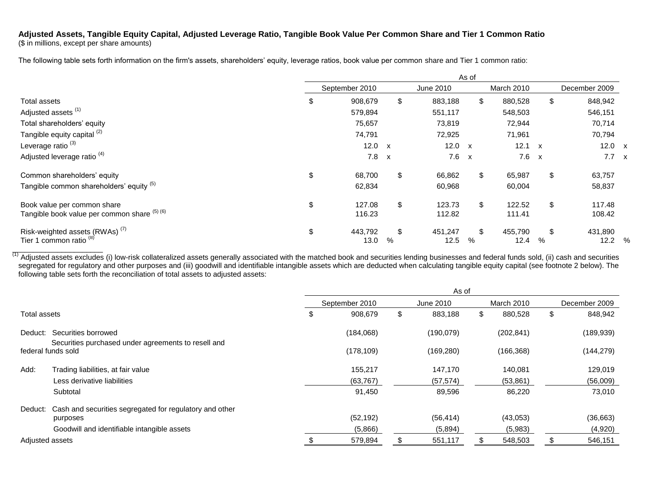## **Adjusted Assets, Tangible Equity Capital, Adjusted Leverage Ratio, Tangible Book Value Per Common Share and Tier 1 Common Ratio**

(\$ in millions, except per share amounts)

The following table sets forth information on the firm's assets, shareholders' equity, leverage ratios, book value per common share and Tier 1 common ratio:

|                                              | As of |                |              |           |              |              |              |               |               |
|----------------------------------------------|-------|----------------|--------------|-----------|--------------|--------------|--------------|---------------|---------------|
|                                              |       | September 2010 |              | June 2010 |              | March 2010   |              | December 2009 |               |
| Total assets                                 | \$    | 908,679        | \$           | 883,188   | \$           | 880,528      | \$           | 848,942       |               |
| Adjusted assets <sup>(1)</sup>               |       | 579,894        |              | 551,117   |              | 548,503      |              | 546,151       |               |
| Total shareholders' equity                   |       | 75,657         |              | 73,819    |              | 72,944       |              | 70,714        |               |
| Tangible equity capital <sup>(2)</sup>       |       | 74,791         |              | 72,925    |              | 71,961       |              | 70,794        |               |
| Leverage ratio <sup>(3)</sup>                |       | 12.0           | $\mathsf{x}$ | 12.0      | $\mathsf{x}$ | 12.1         | $\mathsf{x}$ | 12.0 $\times$ |               |
| Adjusted leverage ratio <sup>(4)</sup>       |       | 7.8            | $\mathsf{x}$ | 7.6       | $\mathbf{x}$ | $7.6 \times$ |              | $7.7 \times$  |               |
| Common shareholders' equity                  | \$    | 68,700         | \$           | 66,862    | \$           | 65,987       | \$           | 63,757        |               |
| Tangible common shareholders' equity (5)     |       | 62,834         |              | 60,968    |              | 60,004       |              | 58,837        |               |
| Book value per common share                  | \$    | 127.08         | \$           | 123.73    | \$           | 122.52       | \$           | 117.48        |               |
| Tangible book value per common share (5) (6) |       | 116.23         |              | 112.82    |              | 111.41       |              | 108.42        |               |
| Risk-weighted assets (RWAs) <sup>(7)</sup>   | \$    | 443,792        | \$           | 451,247   | \$           | 455,790      | \$           | 431,890       |               |
| Tier 1 common ratio <sup>(8)</sup>           |       | 13.0           | %            | 12.5      | %            | 12.4         | %            | 12.2          | $\frac{0}{0}$ |

 $\frac{(1)}{1}$ Adjusted assets excludes (i) low-risk collateralized assets generally associated with the matched book and securities lending businesses and federal funds sold, (ii) cash and securities segregated for regulatory and other purposes and (iii) goodwill and identifiable intangible assets which are deducted when calculating tangible equity capital (see footnote 2 below). The following table sets forth the reconciliation of total assets to adjusted assets:

|                                                                                       | As of |                |    |            |    |            |    |               |  |  |
|---------------------------------------------------------------------------------------|-------|----------------|----|------------|----|------------|----|---------------|--|--|
|                                                                                       |       | September 2010 |    | June 2010  |    | March 2010 |    | December 2009 |  |  |
| Total assets                                                                          | \$    | 908,679        | \$ | 883,188    | \$ | 880,528    | \$ | 848,942       |  |  |
| Securities borrowed<br>Deduct:<br>Securities purchased under agreements to resell and |       | (184,068)      |    | (190, 079) |    | (202, 841) |    | (189, 939)    |  |  |
| federal funds sold                                                                    |       | (178, 109)     |    | (169, 280) |    | (166, 368) |    | (144, 279)    |  |  |
| Add:<br>Trading liabilities, at fair value                                            |       | 155,217        |    | 147,170    |    | 140.081    |    | 129,019       |  |  |
| Less derivative liabilities                                                           |       | (63, 767)      |    | (57, 574)  |    | (53, 861)  |    | (56,009)      |  |  |
| Subtotal                                                                              |       | 91,450         |    | 89,596     |    | 86,220     |    | 73,010        |  |  |
| Deduct: Cash and securities segregated for regulatory and other<br>purposes           |       | (52, 192)      |    | (56, 414)  |    | (43,053)   |    | (36,663)      |  |  |
| Goodwill and identifiable intangible assets                                           |       | (5,866)        |    | (5,894)    |    | (5,983)    |    | (4,920)       |  |  |
| Adjusted assets                                                                       |       | 579,894        |    | 551,117    |    | 548,503    |    | 546,151       |  |  |